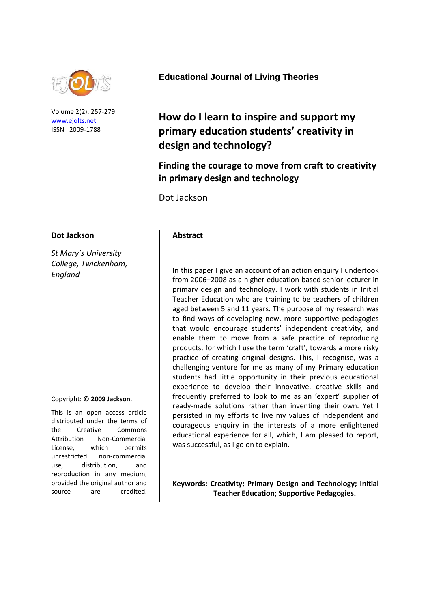

Volume 2(2): 257-279 [www.ejolts.net](http://www.ejolts.net/) ISSN 2009-1788

#### **Educational Journal of Living Theories**

# **How do I learn to inspire and support my primary education students' creativity in design and technology?**

## **Finding the courage to move from craft to creativity in primary design and technology**

Dot Jackson

#### **Dot Jackson**

*St Mary's University College, Twickenham, England*

#### Copyright: **© 2009 Jackson**.

This is an open access article distributed under the terms of the Creative Commons Attribution Non-Commercial License, which permits unrestricted non-commercial use, distribution, and reproduction in any medium, provided the original author and source are credited.

#### **Abstract**

In this paper I give an account of an action enquiry I undertook from 2006–2008 as a higher education-based senior lecturer in primary design and technology. I work with students in Initial Teacher Education who are training to be teachers of children aged between 5 and 11 years. The purpose of my research was to find ways of developing new, more supportive pedagogies that would encourage students' independent creativity, and enable them to move from a safe practice of reproducing products, for which I use the term 'craft', towards a more risky practice of creating original designs. This, I recognise, was a challenging venture for me as many of my Primary education students had little opportunity in their previous educational experience to develop their innovative, creative skills and frequently preferred to look to me as an 'expert' supplier of ready-made solutions rather than inventing their own. Yet I persisted in my efforts to live my values of independent and courageous enquiry in the interests of a more enlightened educational experience for all, which, I am pleased to report, was successful, as I go on to explain.

#### **Keywords: Creativity; Primary Design and Technology; Initial Teacher Education; Supportive Pedagogies.**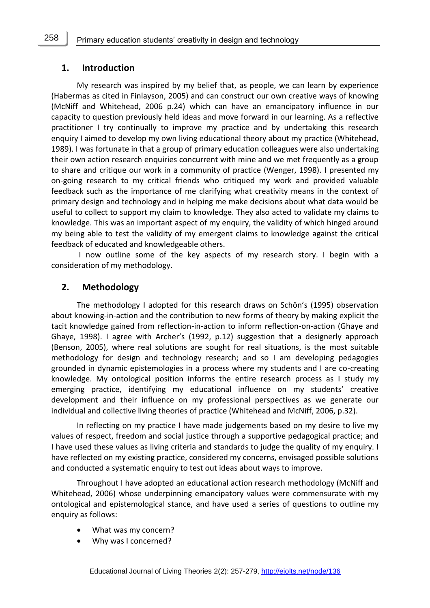### **1. Introduction**

My research was inspired by my belief that, as people, we can learn by experience (Habermas as cited in Finlayson, 2005) and can construct our own creative ways of knowing (McNiff and Whitehead, 2006 p.24) which can have an emancipatory influence in our capacity to question previously held ideas and move forward in our learning. As a reflective practitioner I try continually to improve my practice and by undertaking this research enquiry I aimed to develop my own living educational theory about my practice (Whitehead, 1989). I was fortunate in that a group of primary education colleagues were also undertaking their own action research enquiries concurrent with mine and we met frequently as a group to share and critique our work in a community of practice (Wenger, 1998). I presented my on-going research to my critical friends who critiqued my work and provided valuable feedback such as the importance of me clarifying what creativity means in the context of primary design and technology and in helping me make decisions about what data would be useful to collect to support my claim to knowledge. They also acted to validate my claims to knowledge. This was an important aspect of my enquiry, the validity of which hinged around my being able to test the validity of my emergent claims to knowledge against the critical feedback of educated and knowledgeable others.

I now outline some of the key aspects of my research story. I begin with a consideration of my methodology.

#### **2. Methodology**

The methodology I adopted for this research draws on Schön's (1995) observation about knowing-in-action and the contribution to new forms of theory by making explicit the tacit knowledge gained from reflection-in-action to inform reflection-on-action (Ghaye and Ghaye, 1998). I agree with Archer's (1992, p.12) suggestion that a designerly approach (Benson, 2005), where real solutions are sought for real situations, is the most suitable methodology for design and technology research; and so I am developing pedagogies grounded in dynamic epistemologies in a process where my students and I are co-creating knowledge. My ontological position informs the entire research process as I study my emerging practice, identifying my educational influence on my students' creative development and their influence on my professional perspectives as we generate our individual and collective living theories of practice (Whitehead and McNiff, 2006, p.32).

In reflecting on my practice I have made judgements based on my desire to live my values of respect, freedom and social justice through a supportive pedagogical practice; and I have used these values as living criteria and standards to judge the quality of my enquiry. I have reflected on my existing practice, considered my concerns, envisaged possible solutions and conducted a systematic enquiry to test out ideas about ways to improve.

Throughout I have adopted an educational action research methodology (McNiff and Whitehead, 2006) whose underpinning emancipatory values were commensurate with my ontological and epistemological stance, and have used a series of questions to outline my enquiry as follows:

- What was my concern?
- Why was I concerned?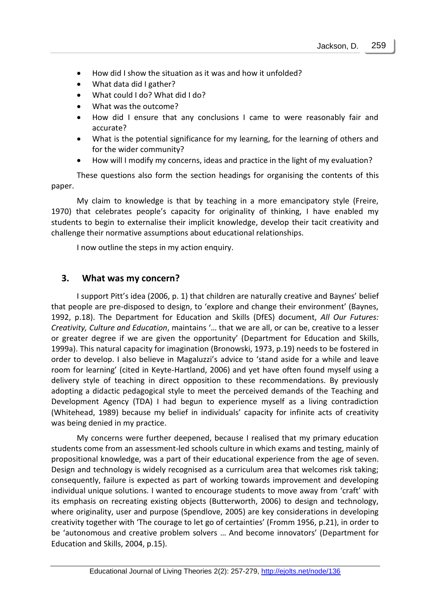- How did I show the situation as it was and how it unfolded?
- What data did I gather?
- What could I do? What did I do?
- What was the outcome?
- How did I ensure that any conclusions I came to were reasonably fair and accurate?
- What is the potential significance for my learning, for the learning of others and for the wider community?
- How will I modify my concerns, ideas and practice in the light of my evaluation?

These questions also form the section headings for organising the contents of this paper.

My claim to knowledge is that by teaching in a more emancipatory style (Freire, 1970) that celebrates people's capacity for originality of thinking, I have enabled my students to begin to externalise their implicit knowledge, develop their tacit creativity and challenge their normative assumptions about educational relationships.

I now outline the steps in my action enquiry.

## **3. What was my concern?**

I support Pitt's idea (2006, p. 1) that children are naturally creative and Baynes' belief that people are pre-disposed to design, to 'explore and change their environment' (Baynes, 1992, p.18). The Department for Education and Skills (DfES) document, *All Our Futures: Creativity, Culture and Education*, maintains '… that we are all, or can be, creative to a lesser or greater degree if we are given the opportunity' (Department for Education and Skills, 1999a). This natural capacity for imagination (Bronowski, 1973, p.19) needs to be fostered in order to develop. I also believe in Magaluzzi's advice to 'stand aside for a while and leave room for learning' (cited in Keyte-Hartland, 2006) and yet have often found myself using a delivery style of teaching in direct opposition to these recommendations. By previously adopting a didactic pedagogical style to meet the perceived demands of the Teaching and Development Agency (TDA) I had begun to experience myself as a living contradiction (Whitehead, 1989) because my belief in individuals' capacity for infinite acts of creativity was being denied in my practice.

My concerns were further deepened, because I realised that my primary education students come from an assessment-led schools culture in which exams and testing, mainly of propositional knowledge, was a part of their educational experience from the age of seven. Design and technology is widely recognised as a curriculum area that welcomes risk taking; consequently, failure is expected as part of working towards improvement and developing individual unique solutions. I wanted to encourage students to move away from 'craft' with its emphasis on recreating existing objects (Butterworth, 2006) to design and technology, where originality, user and purpose (Spendlove, 2005) are key considerations in developing creativity together with 'The courage to let go of certainties' (Fromm 1956, p.21), in order to be 'autonomous and creative problem solvers … And become innovators' (Department for Education and Skills, 2004, p.15).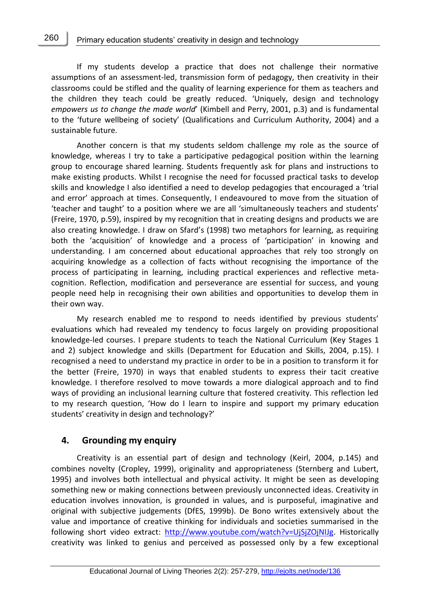If my students develop a practice that does not challenge their normative assumptions of an assessment-led, transmission form of pedagogy, then creativity in their classrooms could be stifled and the quality of learning experience for them as teachers and the children they teach could be greatly reduced. 'Uniquely, design and technology *empowers us to change the made world*' (Kimbell and Perry, 2001, p.3) and is fundamental to the 'future wellbeing of society' (Qualifications and Curriculum Authority, 2004) and a sustainable future.

Another concern is that my students seldom challenge my role as the source of knowledge, whereas I try to take a participative pedagogical position within the learning group to encourage shared learning. Students frequently ask for plans and instructions to make existing products. Whilst I recognise the need for focussed practical tasks to develop skills and knowledge I also identified a need to develop pedagogies that encouraged a 'trial and error' approach at times. Consequently, I endeavoured to move from the situation of 'teacher and taught' to a position where we are all 'simultaneously teachers and students' (Freire, 1970, p.59), inspired by my recognition that in creating designs and products we are also creating knowledge. I draw on Sfard's (1998) two metaphors for learning, as requiring both the 'acquisition' of knowledge and a process of 'participation' in knowing and understanding. I am concerned about educational approaches that rely too strongly on acquiring knowledge as a collection of facts without recognising the importance of the process of participating in learning, including practical experiences and reflective metacognition. Reflection, modification and perseverance are essential for success, and young people need help in recognising their own abilities and opportunities to develop them in their own way.

My research enabled me to respond to needs identified by previous students' evaluations which had revealed my tendency to focus largely on providing propositional knowledge-led courses. I prepare students to teach the National Curriculum (Key Stages 1 and 2) subject knowledge and skills (Department for Education and Skills, 2004, p.15). I recognised a need to understand my practice in order to be in a position to transform it for the better (Freire, 1970) in ways that enabled students to express their tacit creative knowledge. I therefore resolved to move towards a more dialogical approach and to find ways of providing an inclusional learning culture that fostered creativity. This reflection led to my research question, 'How do I learn to inspire and support my primary education students' creativity in design and technology?'

#### **4. Grounding my enquiry**

Creativity is an essential part of design and technology (Keirl, 2004, p.145) and combines novelty (Cropley, 1999), originality and appropriateness (Sternberg and Lubert, 1995) and involves both intellectual and physical activity. It might be seen as developing something new or making connections between previously unconnected ideas. Creativity in education involves innovation, is grounded in values, and is purposeful, imaginative and original with subjective judgements (DfES, 1999b). De Bono writes extensively about the value and importance of creative thinking for individuals and societies summarised in the following short video extract: [http://www.youtube.com/watch?v=UjSjZOjNIJg.](http://www.youtube.com/watch?v=UjSjZOjNIJg) Historically creativity was linked to genius and perceived as possessed only by a few exceptional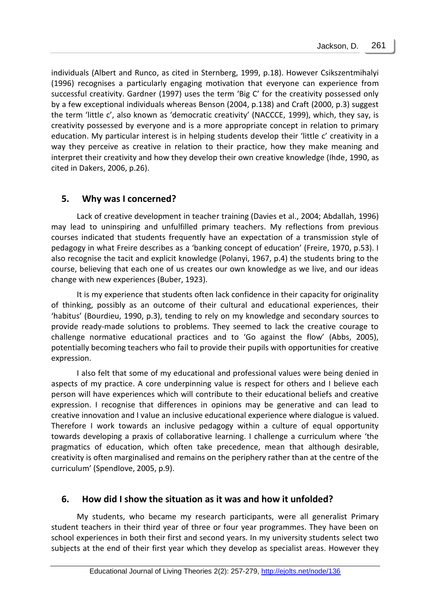individuals (Albert and Runco, as cited in Sternberg, 1999, p.18). However Csikszentmihalyi (1996) recognises a particularly engaging motivation that everyone can experience from successful creativity. Gardner (1997) uses the term 'Big C' for the creativity possessed only by a few exceptional individuals whereas Benson (2004, p.138) and Craft (2000, p.3) suggest the term 'little c', also known as 'democratic creativity' (NACCCE, 1999), which, they say, is creativity possessed by everyone and is a more appropriate concept in relation to primary education. My particular interest is in helping students develop their 'little c' creativity in a way they perceive as creative in relation to their practice, how they make meaning and interpret their creativity and how they develop their own creative knowledge (Ihde, 1990, as cited in Dakers, 2006, p.26).

#### **5. Why was I concerned?**

Lack of creative development in teacher training (Davies et al., 2004; Abdallah, 1996) may lead to uninspiring and unfulfilled primary teachers. My reflections from previous courses indicated that students frequently have an expectation of a transmission style of pedagogy in what Freire describes as a 'banking concept of education' (Freire, 1970, p.53). I also recognise the tacit and explicit knowledge (Polanyi, 1967, p.4) the students bring to the course, believing that each one of us creates our own knowledge as we live, and our ideas change with new experiences (Buber, 1923).

It is my experience that students often lack confidence in their capacity for originality of thinking, possibly as an outcome of their cultural and educational experiences, their 'habitus' (Bourdieu, 1990, p.3), tending to rely on my knowledge and secondary sources to provide ready-made solutions to problems. They seemed to lack the creative courage to challenge normative educational practices and to 'Go against the flow' (Abbs, 2005), potentially becoming teachers who fail to provide their pupils with opportunities for creative expression.

I also felt that some of my educational and professional values were being denied in aspects of my practice. A core underpinning value is respect for others and I believe each person will have experiences which will contribute to their educational beliefs and creative expression. I recognise that differences in opinions may be generative and can lead to creative innovation and I value an inclusive educational experience where dialogue is valued. Therefore I work towards an inclusive pedagogy within a culture of equal opportunity towards developing a praxis of collaborative learning. I challenge a curriculum where 'the pragmatics of education, which often take precedence, mean that although desirable, creativity is often marginalised and remains on the periphery rather than at the centre of the curriculum' (Spendlove, 2005, p.9).

## **6. How did I show the situation as it was and how it unfolded?**

My students, who became my research participants, were all generalist Primary student teachers in their third year of three or four year programmes. They have been on school experiences in both their first and second years. In my university students select two subjects at the end of their first year which they develop as specialist areas. However they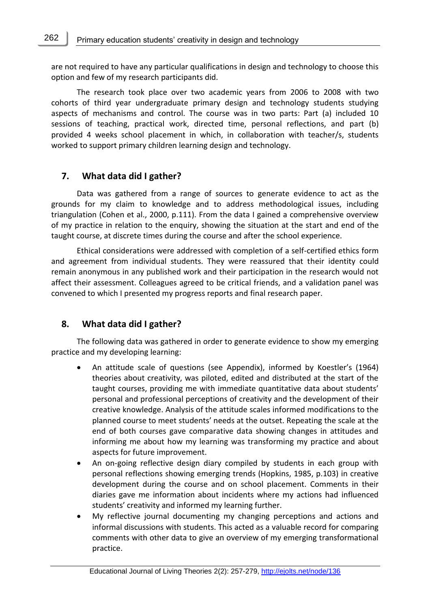are not required to have any particular qualifications in design and technology to choose this option and few of my research participants did.

The research took place over two academic years from 2006 to 2008 with two cohorts of third year undergraduate primary design and technology students studying aspects of mechanisms and control. The course was in two parts: Part (a) included 10 sessions of teaching, practical work, directed time, personal reflections, and part (b) provided 4 weeks school placement in which, in collaboration with teacher/s, students worked to support primary children learning design and technology.

## **7. What data did I gather?**

Data was gathered from a range of sources to generate evidence to act as the grounds for my claim to knowledge and to address methodological issues, including triangulation (Cohen et al., 2000, p.111). From the data I gained a comprehensive overview of my practice in relation to the enquiry, showing the situation at the start and end of the taught course, at discrete times during the course and after the school experience.

Ethical considerations were addressed with completion of a self-certified ethics form and agreement from individual students. They were reassured that their identity could remain anonymous in any published work and their participation in the research would not affect their assessment. Colleagues agreed to be critical friends, and a validation panel was convened to which I presented my progress reports and final research paper.

## **8. What data did I gather?**

The following data was gathered in order to generate evidence to show my emerging practice and my developing learning:

- An attitude scale of questions (see Appendix), informed by Koestler's (1964) theories about creativity, was piloted, edited and distributed at the start of the taught courses, providing me with immediate quantitative data about students' personal and professional perceptions of creativity and the development of their creative knowledge. Analysis of the attitude scales informed modifications to the planned course to meet students' needs at the outset. Repeating the scale at the end of both courses gave comparative data showing changes in attitudes and informing me about how my learning was transforming my practice and about aspects for future improvement.
- An on-going reflective design diary compiled by students in each group with personal reflections showing emerging trends (Hopkins, 1985, p.103) in creative development during the course and on school placement. Comments in their diaries gave me information about incidents where my actions had influenced students' creativity and informed my learning further.
- My reflective journal documenting my changing perceptions and actions and informal discussions with students. This acted as a valuable record for comparing comments with other data to give an overview of my emerging transformational practice.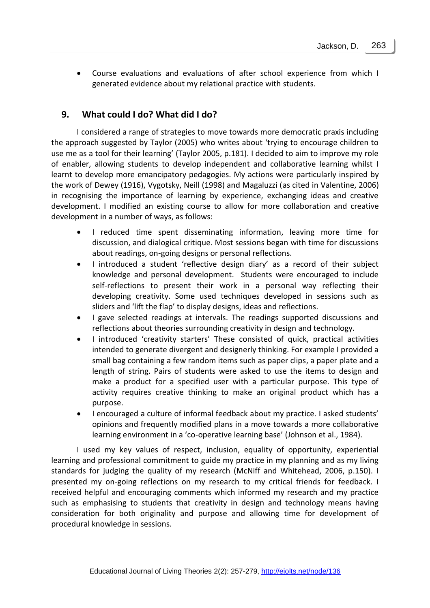Course evaluations and evaluations of after school experience from which I generated evidence about my relational practice with students.

#### **9. What could I do? What did I do?**

I considered a range of strategies to move towards more democratic praxis including the approach suggested by Taylor (2005) who writes about 'trying to encourage children to use me as a tool for their learning' (Taylor 2005, p.181). I decided to aim to improve my role of enabler, allowing students to develop independent and collaborative learning whilst I learnt to develop more emancipatory pedagogies. My actions were particularly inspired by the work of Dewey (1916), Vygotsky, Neill (1998) and Magaluzzi (as cited in Valentine, 2006) in recognising the importance of learning by experience, exchanging ideas and creative development. I modified an existing course to allow for more collaboration and creative development in a number of ways, as follows:

- I reduced time spent disseminating information, leaving more time for discussion, and dialogical critique. Most sessions began with time for discussions about readings, on-going designs or personal reflections.
- I introduced a student 'reflective design diary' as a record of their subject knowledge and personal development. Students were encouraged to include self-reflections to present their work in a personal way reflecting their developing creativity. Some used techniques developed in sessions such as sliders and 'lift the flap' to display designs, ideas and reflections.
- I gave selected readings at intervals. The readings supported discussions and reflections about theories surrounding creativity in design and technology.
- I introduced 'creativity starters' These consisted of quick, practical activities intended to generate divergent and designerly thinking. For example I provided a small bag containing a few random items such as paper clips, a paper plate and a length of string. Pairs of students were asked to use the items to design and make a product for a specified user with a particular purpose. This type of activity requires creative thinking to make an original product which has a purpose.
- I encouraged a culture of informal feedback about my practice. I asked students' opinions and frequently modified plans in a move towards a more collaborative learning environment in a 'co-operative learning base' (Johnson et al., 1984).

I used my key values of respect, inclusion, equality of opportunity, experiential learning and professional commitment to guide my practice in my planning and as my living standards for judging the quality of my research (McNiff and Whitehead, 2006, p.150). I presented my on-going reflections on my research to my critical friends for feedback. I received helpful and encouraging comments which informed my research and my practice such as emphasising to students that creativity in design and technology means having consideration for both originality and purpose and allowing time for development of procedural knowledge in sessions.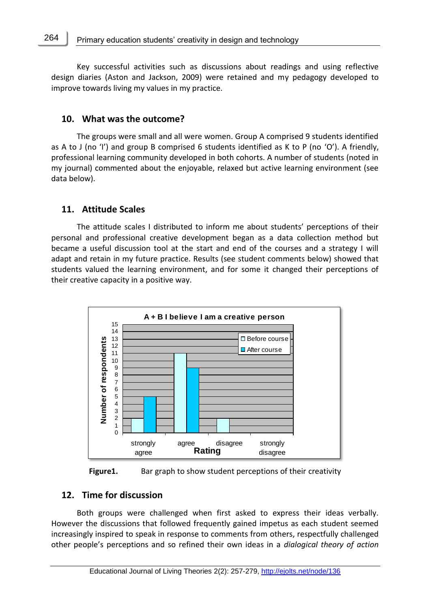Key successful activities such as discussions about readings and using reflective design diaries (Aston and Jackson, 2009) were retained and my pedagogy developed to improve towards living my values in my practice.

#### **10. What was the outcome?**

The groups were small and all were women. Group A comprised 9 students identified as A to J (no 'I') and group B comprised 6 students identified as K to P (no 'O'). A friendly, professional learning community developed in both cohorts. A number of students (noted in my journal) commented about the enjoyable, relaxed but active learning environment (see data below).

#### **11. Attitude Scales**

The attitude scales I distributed to inform me about students' perceptions of their personal and professional creative development began as a data collection method but became a useful discussion tool at the start and end of the courses and a strategy I will adapt and retain in my future practice. Results (see student comments below) showed that students valued the learning environment, and for some it changed their perceptions of their creative capacity in a positive way.





#### **12. Time for discussion**

Both groups were challenged when first asked to express their ideas verbally. However the discussions that followed frequently gained impetus as each student seemed increasingly inspired to speak in response to comments from others, respectfully challenged other people's perceptions and so refined their own ideas in a *dialogical theory of action*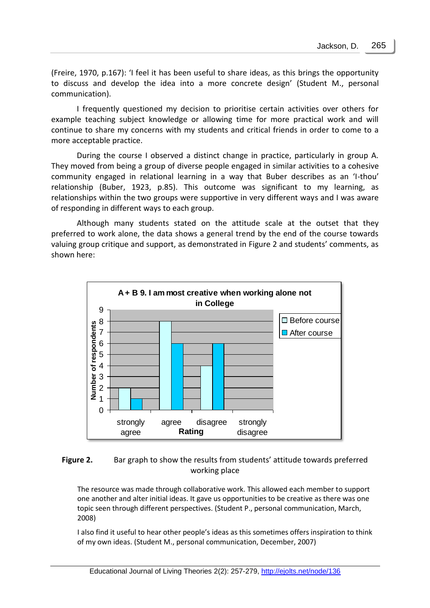(Freire, 1970, p.167): 'I feel it has been useful to share ideas, as this brings the opportunity to discuss and develop the idea into a more concrete design' (Student M., personal communication).

I frequently questioned my decision to prioritise certain activities over others for example teaching subject knowledge or allowing time for more practical work and will continue to share my concerns with my students and critical friends in order to come to a more acceptable practice.

During the course I observed a distinct change in practice, particularly in group A. They moved from being a group of diverse people engaged in similar activities to a cohesive community engaged in relational learning in a way that Buber describes as an 'I-thou' relationship (Buber, 1923, p.85). This outcome was significant to my learning, as relationships within the two groups were supportive in very different ways and I was aware of responding in different ways to each group.

Although many students stated on the attitude scale at the outset that they preferred to work alone, the data shows a general trend by the end of the course towards valuing group critique and support, as demonstrated in Figure 2 and students' comments, as shown here:



#### **Figure 2.** Bar graph to show the results from students' attitude towards preferred working place

The resource was made through collaborative work. This allowed each member to support one another and alter initial ideas. It gave us opportunities to be creative as there was one topic seen through different perspectives. (Student P., personal communication, March, 2008)

I also find it useful to hear other people's ideas as this sometimes offers inspiration to think of my own ideas. (Student M., personal communication, December, 2007)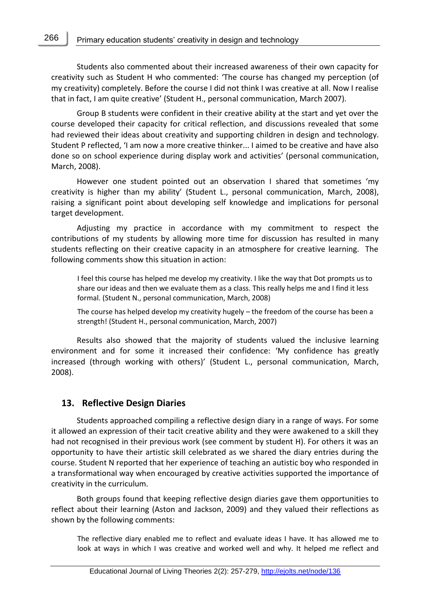Students also commented about their increased awareness of their own capacity for creativity such as Student H who commented: 'The course has changed my perception (of my creativity) completely. Before the course I did not think I was creative at all. Now I realise that in fact, I am quite creative' (Student H., personal communication, March 2007).

Group B students were confident in their creative ability at the start and yet over the course developed their capacity for critical reflection, and discussions revealed that some had reviewed their ideas about creativity and supporting children in design and technology. Student P reflected, 'I am now a more creative thinker... I aimed to be creative and have also done so on school experience during display work and activities' (personal communication, March, 2008).

However one student pointed out an observation I shared that sometimes 'my creativity is higher than my ability' (Student L., personal communication, March, 2008), raising a significant point about developing self knowledge and implications for personal target development.

Adjusting my practice in accordance with my commitment to respect the contributions of my students by allowing more time for discussion has resulted in many students reflecting on their creative capacity in an atmosphere for creative learning. The following comments show this situation in action:

I feel this course has helped me develop my creativity. I like the way that Dot prompts us to share our ideas and then we evaluate them as a class. This really helps me and I find it less formal. (Student N., personal communication, March, 2008)

The course has helped develop my creativity hugely – the freedom of the course has been a strength! (Student H., personal communication, March, 2007)

Results also showed that the majority of students valued the inclusive learning environment and for some it increased their confidence: 'My confidence has greatly increased (through working with others)' (Student L., personal communication, March, 2008).

#### **13. Reflective Design Diaries**

Students approached compiling a reflective design diary in a range of ways. For some it allowed an expression of their tacit creative ability and they were awakened to a skill they had not recognised in their previous work (see comment by student H). For others it was an opportunity to have their artistic skill celebrated as we shared the diary entries during the course. Student N reported that her experience of teaching an autistic boy who responded in a transformational way when encouraged by creative activities supported the importance of creativity in the curriculum.

Both groups found that keeping reflective design diaries gave them opportunities to reflect about their learning (Aston and Jackson, 2009) and they valued their reflections as shown by the following comments:

The reflective diary enabled me to reflect and evaluate ideas I have. It has allowed me to look at ways in which I was creative and worked well and why. It helped me reflect and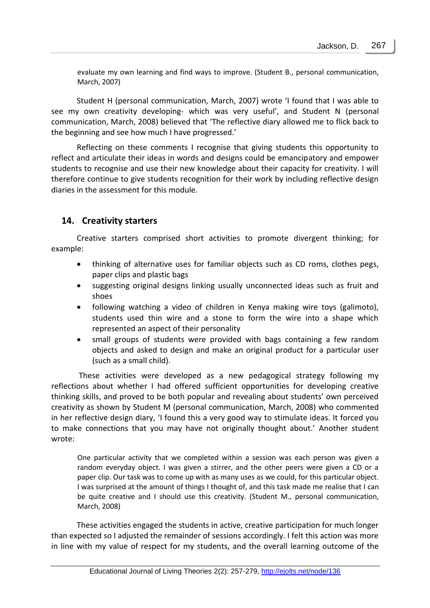evaluate my own learning and find ways to improve. (Student B., personal communication, March, 2007)

Student H (personal communication, March, 2007) wrote 'I found that I was able to see my own creativity developing- which was very useful', and Student N (personal communication, March, 2008) believed that 'The reflective diary allowed me to flick back to the beginning and see how much I have progressed.'

Reflecting on these comments I recognise that giving students this opportunity to reflect and articulate their ideas in words and designs could be emancipatory and empower students to recognise and use their new knowledge about their capacity for creativity. I will therefore continue to give students recognition for their work by including reflective design diaries in the assessment for this module.

#### **14. Creativity starters**

Creative starters comprised short activities to promote divergent thinking; for example:

- thinking of alternative uses for familiar objects such as CD roms, clothes pegs, paper clips and plastic bags
- suggesting original designs linking usually unconnected ideas such as fruit and shoes
- following watching a video of children in Kenya making wire toys (galimoto), students used thin wire and a stone to form the wire into a shape which represented an aspect of their personality
- small groups of students were provided with bags containing a few random objects and asked to design and make an original product for a particular user (such as a small child).

These activities were developed as a new pedagogical strategy following my reflections about whether I had offered sufficient opportunities for developing creative thinking skills, and proved to be both popular and revealing about students' own perceived creativity as shown by Student M (personal communication, March, 2008) who commented in her reflective design diary, 'I found this a very good way to stimulate ideas. It forced you to make connections that you may have not originally thought about.' Another student wrote:

One particular activity that we completed within a session was each person was given a random everyday object. I was given a stirrer, and the other peers were given a CD or a paper clip. Our task was to come up with as many uses as we could, for this particular object. I was surprised at the amount of things I thought of, and this task made me realise that I can be quite creative and I should use this creativity. (Student M., personal communication, March, 2008)

These activities engaged the students in active, creative participation for much longer than expected so I adjusted the remainder of sessions accordingly. I felt this action was more in line with my value of respect for my students, and the overall learning outcome of the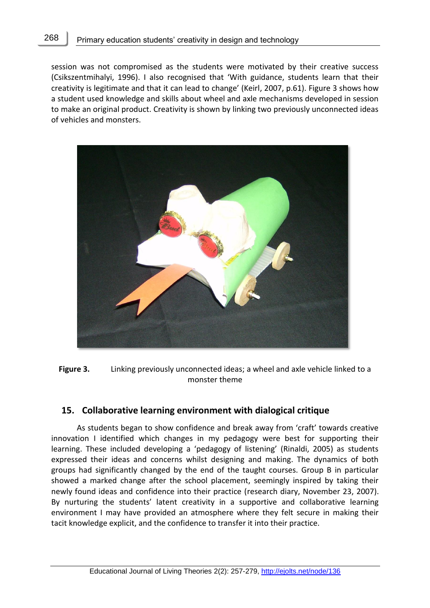session was not compromised as the students were motivated by their creative success (Csikszentmihalyi, 1996). I also recognised that 'With guidance, students learn that their creativity is legitimate and that it can lead to change' (Keirl, 2007, p.61). Figure 3 shows how a student used knowledge and skills about wheel and axle mechanisms developed in session to make an original product. Creativity is shown by linking two previously unconnected ideas of vehicles and monsters.





#### **15. Collaborative learning environment with dialogical critique**

As students began to show confidence and break away from 'craft' towards creative innovation I identified which changes in my pedagogy were best for supporting their learning. These included developing a 'pedagogy of listening' (Rinaldi, 2005) as students expressed their ideas and concerns whilst designing and making. The dynamics of both groups had significantly changed by the end of the taught courses. Group B in particular showed a marked change after the school placement, seemingly inspired by taking their newly found ideas and confidence into their practice (research diary, November 23, 2007). By nurturing the students' latent creativity in a supportive and collaborative learning environment I may have provided an atmosphere where they felt secure in making their tacit knowledge explicit, and the confidence to transfer it into their practice.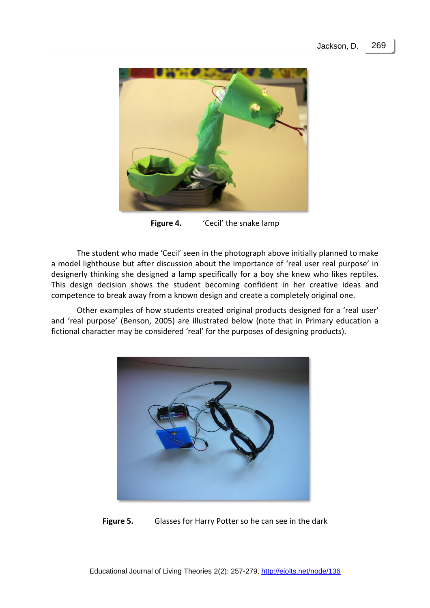

**Figure 4.** 'Cecil' the snake lamp

The student who made 'Cecil' seen in the photograph above initially planned to make a model lighthouse but after discussion about the importance of 'real user real purpose' in designerly thinking she designed a lamp specifically for a boy she knew who likes reptiles. This design decision shows the student becoming confident in her creative ideas and competence to break away from a known design and create a completely original one.

Other examples of how students created original products designed for a 'real user' and 'real purpose' (Benson, 2005) are illustrated below (note that in Primary education a fictional character may be considered 'real' for the purposes of designing products).



**Figure 5.** Glasses for Harry Potter so he can see in the dark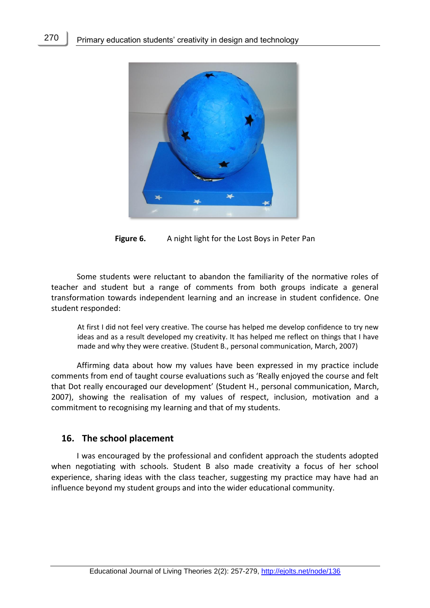

**Figure 6.** A night light for the Lost Boys in Peter Pan

Some students were reluctant to abandon the familiarity of the normative roles of teacher and student but a range of comments from both groups indicate a general transformation towards independent learning and an increase in student confidence. One student responded:

At first I did not feel very creative. The course has helped me develop confidence to try new ideas and as a result developed my creativity. It has helped me reflect on things that I have made and why they were creative. (Student B., personal communication, March, 2007)

Affirming data about how my values have been expressed in my practice include comments from end of taught course evaluations such as 'Really enjoyed the course and felt that Dot really encouraged our development' (Student H., personal communication, March, 2007), showing the realisation of my values of respect, inclusion, motivation and a commitment to recognising my learning and that of my students.

#### **16. The school placement**

I was encouraged by the professional and confident approach the students adopted when negotiating with schools. Student B also made creativity a focus of her school experience, sharing ideas with the class teacher, suggesting my practice may have had an influence beyond my student groups and into the wider educational community.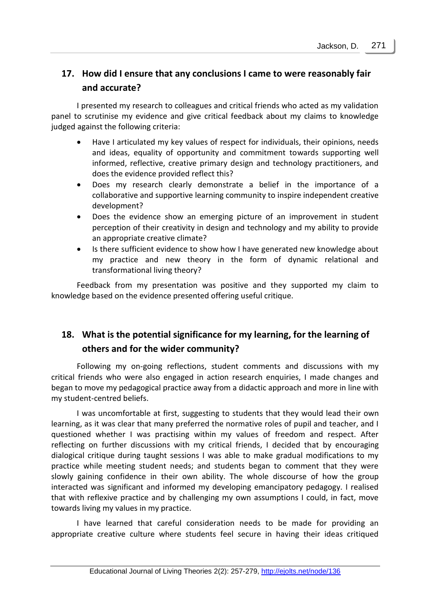## **17. How did I ensure that any conclusions I came to were reasonably fair and accurate?**

I presented my research to colleagues and critical friends who acted as my validation panel to scrutinise my evidence and give critical feedback about my claims to knowledge judged against the following criteria:

- Have I articulated my key values of respect for individuals, their opinions, needs and ideas, equality of opportunity and commitment towards supporting well informed, reflective, creative primary design and technology practitioners, and does the evidence provided reflect this?
- Does my research clearly demonstrate a belief in the importance of a collaborative and supportive learning community to inspire independent creative development?
- Does the evidence show an emerging picture of an improvement in student perception of their creativity in design and technology and my ability to provide an appropriate creative climate?
- Is there sufficient evidence to show how I have generated new knowledge about my practice and new theory in the form of dynamic relational and transformational living theory?

Feedback from my presentation was positive and they supported my claim to knowledge based on the evidence presented offering useful critique.

## **18. What is the potential significance for my learning, for the learning of others and for the wider community?**

Following my on-going reflections, student comments and discussions with my critical friends who were also engaged in action research enquiries, I made changes and began to move my pedagogical practice away from a didactic approach and more in line with my student-centred beliefs.

I was uncomfortable at first, suggesting to students that they would lead their own learning, as it was clear that many preferred the normative roles of pupil and teacher, and I questioned whether I was practising within my values of freedom and respect. After reflecting on further discussions with my critical friends, I decided that by encouraging dialogical critique during taught sessions I was able to make gradual modifications to my practice while meeting student needs; and students began to comment that they were slowly gaining confidence in their own ability. The whole discourse of how the group interacted was significant and informed my developing emancipatory pedagogy. I realised that with reflexive practice and by challenging my own assumptions I could, in fact, move towards living my values in my practice.

I have learned that careful consideration needs to be made for providing an appropriate creative culture where students feel secure in having their ideas critiqued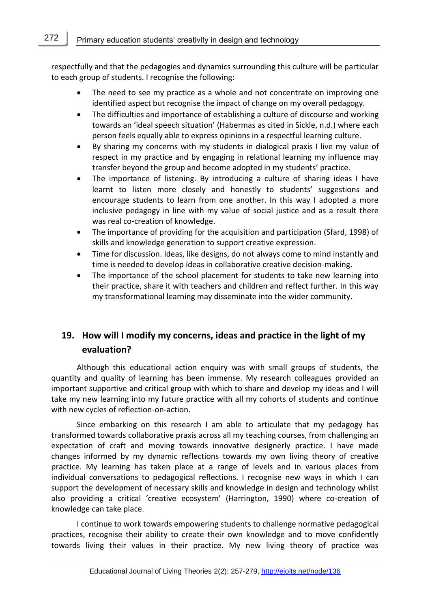respectfully and that the pedagogies and dynamics surrounding this culture will be particular to each group of students. I recognise the following:

- The need to see my practice as a whole and not concentrate on improving one identified aspect but recognise the impact of change on my overall pedagogy.
- The difficulties and importance of establishing a culture of discourse and working towards an 'ideal speech situation' (Habermas as cited in Sickle, n.d.) where each person feels equally able to express opinions in a respectful learning culture.
- By sharing my concerns with my students in dialogical praxis I live my value of respect in my practice and by engaging in relational learning my influence may transfer beyond the group and become adopted in my students' practice.
- The importance of listening. By introducing a culture of sharing ideas I have learnt to listen more closely and honestly to students' suggestions and encourage students to learn from one another. In this way I adopted a more inclusive pedagogy in line with my value of social justice and as a result there was real co-creation of knowledge.
- The importance of providing for the acquisition and participation (Sfard, 1998) of skills and knowledge generation to support creative expression.
- Time for discussion. Ideas, like designs, do not always come to mind instantly and time is needed to develop ideas in collaborative creative decision-making.
- The importance of the school placement for students to take new learning into their practice, share it with teachers and children and reflect further. In this way my transformational learning may disseminate into the wider community.

## **19. How will I modify my concerns, ideas and practice in the light of my evaluation?**

Although this educational action enquiry was with small groups of students, the quantity and quality of learning has been immense. My research colleagues provided an important supportive and critical group with which to share and develop my ideas and I will take my new learning into my future practice with all my cohorts of students and continue with new cycles of reflection-on-action.

Since embarking on this research I am able to articulate that my pedagogy has transformed towards collaborative praxis across all my teaching courses, from challenging an expectation of craft and moving towards innovative designerly practice. I have made changes informed by my dynamic reflections towards my own living theory of creative practice. My learning has taken place at a range of levels and in various places from individual conversations to pedagogical reflections. I recognise new ways in which I can support the development of necessary skills and knowledge in design and technology whilst also providing a critical 'creative ecosystem' (Harrington, 1990) where co-creation of knowledge can take place.

I continue to work towards empowering students to challenge normative pedagogical practices, recognise their ability to create their own knowledge and to move confidently towards living their values in their practice. My new living theory of practice was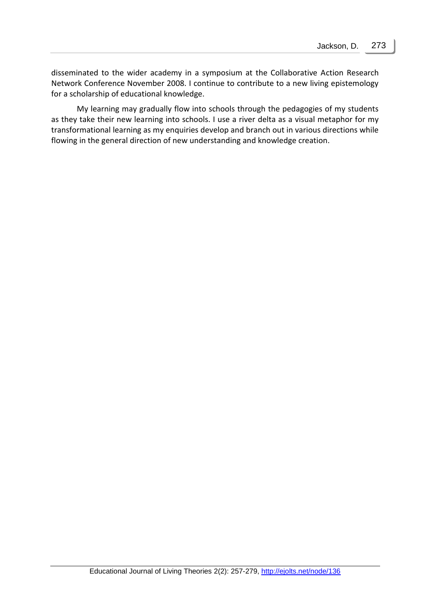disseminated to the wider academy in a symposium at the Collaborative Action Research Network Conference November 2008. I continue to contribute to a new living epistemology for a scholarship of educational knowledge.

My learning may gradually flow into schools through the pedagogies of my students as they take their new learning into schools. I use a river delta as a visual metaphor for my transformational learning as my enquiries develop and branch out in various directions while flowing in the general direction of new understanding and knowledge creation.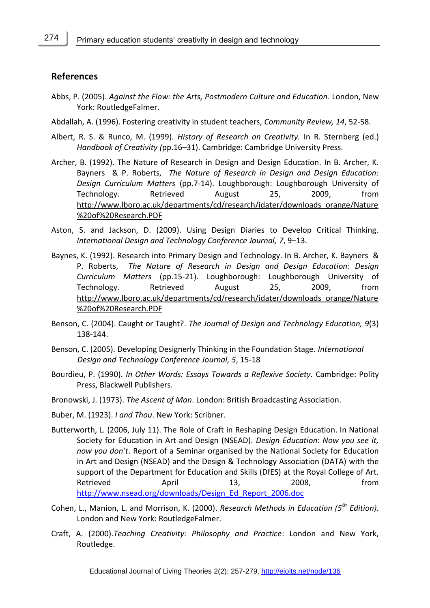#### **References**

- Abbs, P. (2005). *Against the Flow: the Arts, Postmodern Culture and Education.* London, New York: RoutledgeFalmer.
- Abdallah, A. (1996). Fostering creativity in student teachers, *Community Review, 14*, 52-58.
- Albert, R. S. & Runco, M. (1999). *History of Research on Creativity.* In R. Sternberg (ed.) *Handbook of Creativity (*pp.16–31). Cambridge: Cambridge University Press.
- Archer, B. (1992). The Nature of Research in Design and Design Education*.* In B. Archer, K. Bayners & P. Roberts, *The Nature of Research in Design and Design Education: Design Curriculum Matters* (pp.7-14). Loughborough: Loughborough University of Technology. Retrieved August 25, 2009, from [http://www.lboro.ac.uk/departments/cd/research/idater/downloads\\_orange/Nature](http://www.lboro.ac.uk/departments/cd/research/idater/downloads_orange/Nature%20of%20Research.PDF) [%20of%20Research.PDF](http://www.lboro.ac.uk/departments/cd/research/idater/downloads_orange/Nature%20of%20Research.PDF)
- Aston, S. and Jackson, D. (2009). Using Design Diaries to Develop Critical Thinking. *International Design and Technology Conference Journal, 7*, 9–13.
- Baynes, K. (1992). Research into Primary Design and Technology. In B. Archer, K. Bayners & P. Roberts, *The Nature of Research in Design and Design Education: Design Curriculum Matters* (pp.15-21). Loughborough: Loughborough University of Technology. Retrieved August 25, 2009, from [http://www.lboro.ac.uk/departments/cd/research/idater/downloads\\_orange/Nature](http://www.lboro.ac.uk/departments/cd/research/idater/downloads_orange/Nature%20of%20Research.PDF) [%20of%20Research.PDF](http://www.lboro.ac.uk/departments/cd/research/idater/downloads_orange/Nature%20of%20Research.PDF)
- Benson, C. (2004). Caught or Taught?. *The Journal of Design and Technology Education, 9*(3) 138-144.
- Benson, C. (2005). Developing Designerly Thinking in the Foundation Stage. *International Design and Technology Conference Journal, 5*, 15-18
- Bourdieu, P. (1990). *In Other Words: Essays Towards a Reflexive Society.* Cambridge: Polity Press, Blackwell Publishers.
- Bronowski, J. (1973). *The Ascent of Man*. London: British Broadcasting Association.
- Buber, M. (1923). *I and Thou*. New York: Scribner.
- Butterworth, L. (2006, July 11). The Role of Craft in Reshaping Design Education. In National Society for Education in Art and Design (NSEAD). *Design Education: Now you see it, now you don't*. Report of a Seminar organised by the National Society for Education in Art and Design (NSEAD) and the Design & Technology Association (DATA) with the support of the Department for Education and Skills (DfES) at the Royal College of Art. Retrieved April 13, 2008, from [http://www.nsead.org/downloads/Design\\_Ed\\_Report\\_2006.doc](http://www.nsead.org/downloads/Design_Ed_Report_2006.doc)
- Cohen, L., Manion, L. and Morrison, K. (2000). *Research Methods in Education (5th Edition)*. London and New York: RoutledgeFalmer.
- Craft, A. (2000).*Teaching Creativity: Philosophy and Practice*: London and New York, Routledge.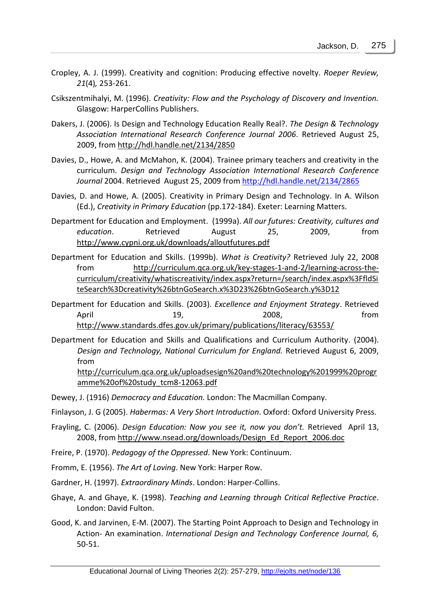- Cropley, A. J. (1999). Creativity and cognition: Producing effective novelty. *Roeper Review, 21*(4)*,* 253-261.
- Csikszentmihalyi, M. (1996). *Creativity: Flow and the Psychology of Discovery and Invention.* Glasgow: HarperCollins Publishers.
- Dakers, J. (2006). Is Design and Technology Education Really Real?. *The Design & Technology Association International Research Conference Journal 2006*. Retrieved August 25, 2009, from<http://hdl.handle.net/2134/2850>
- Davies, D., Howe, A. and McMahon, K. (2004). Trainee primary teachers and creativity in the curriculum. *Design and Technology Association International Research Conference Journal* 2004. Retrieved August 25, 2009 from<http://hdl.handle.net/2134/2865>
- Davies, D. and Howe, A. (2005). Creativity in Primary Design and Technology. In A. Wilson (Ed.), *Creativity in Primary Education* (pp.172-184). Exeter: Learning Matters.
- Department for Education and Employment. (1999a). *All our futures: Creativity, cultures and education*. Retrieved August 25, 2009, from <http://www.cypni.org.uk/downloads/alloutfutures.pdf>
- Department for Education and Skills. (1999b). *What is Creativity?* Retrieved July 22, 2008 from [http://curriculum.qca.org.uk/key-stages-1-and-2/learning-across-the](http://curriculum.qca.org.uk/key-stages-1-and-2/learning-across-the-curriculum/creativity/whatiscreativity/index.aspx?return=/search/index.aspx%3FfldSiteSearch%3Dcreativity%26btnGoSearch.x%3D23%26btnGoSearch.y%3D12)[curriculum/creativity/whatiscreativity/index.aspx?return=/search/index.aspx%3FfldSi](http://curriculum.qca.org.uk/key-stages-1-and-2/learning-across-the-curriculum/creativity/whatiscreativity/index.aspx?return=/search/index.aspx%3FfldSiteSearch%3Dcreativity%26btnGoSearch.x%3D23%26btnGoSearch.y%3D12) [teSearch%3Dcreativity%26btnGoSearch.x%3D23%26btnGoSearch.y%3D12](http://curriculum.qca.org.uk/key-stages-1-and-2/learning-across-the-curriculum/creativity/whatiscreativity/index.aspx?return=/search/index.aspx%3FfldSiteSearch%3Dcreativity%26btnGoSearch.x%3D23%26btnGoSearch.y%3D12)
- Department for Education and Skills. (2003). *Excellence and Enjoyment Strategy*. Retrieved April 19, 2008, http://www.from <http://www.standards.dfes.gov.uk/primary/publications/literacy/63553/>
- Department for Education and Skills and Qualifications and Curriculum Authority. (2004). *Design and Technology, National Curriculum for England.* Retrieved August 6, 2009, from

[http://curriculum.qca.org.uk/uploadsesign%20and%20technology%201999%20progr](http://curriculum.qca.org.uk/uploads/Design%20and%20technology%201999%20programme%20of%20study_tcm8-12063.pdf) [amme%20of%20study\\_tcm8-12063.pdf](http://curriculum.qca.org.uk/uploads/Design%20and%20technology%201999%20programme%20of%20study_tcm8-12063.pdf)

- Dewey, J. (1916) *Democracy and Education.* London: The Macmillan Company.
- Finlayson, J. G (2005). *Habermas: A Very Short Introduction*. Oxford: Oxford University Press.
- Frayling, C. (2006). *Design Education: Now you see it, now you don't.* Retrieved April 13, 2008, from [http://www.nsead.org/downloads/Design\\_Ed\\_Report\\_2006.doc](http://www.nsead.org/downloads/Design_Ed_Report_2006.doc)
- Freire, P. (1970). *Pedagogy of the Oppressed*. New York: Continuum.
- Fromm, E. (1956). *The Art of Loving*. New York: Harper Row.
- Gardner, H. (1997). *Extraordinary Minds*. London: Harper-Collins.
- Ghaye, A. and Ghaye, K. (1998). *Teaching and Learning through Critical Reflective Practice*. London: David Fulton.
- Good, K. and Jarvinen, E-M. (2007). The Starting Point Approach to Design and Technology in Action- An examination. *International Design and Technology Conference Journal, 6,*  50-51.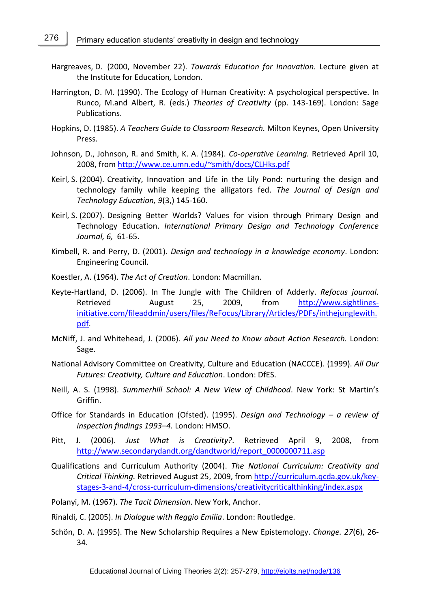276

- Hargreaves, D. (2000, November 22). *Towards Education for Innovation.* Lecture given at the Institute for Education*,* London.
- Harrington, D. M. (1990). The Ecology of Human Creativity: A psychological perspective. In Runco, M.and Albert, R. (eds.) *Theories of Creativity* (pp. 143-169). London: Sage Publications.
- Hopkins, D. (1985). *A Teachers Guide to Classroom Research.* Milton Keynes, Open University Press.
- Johnson, D., Johnson, R. and Smith, K. A. (1984). *Co-operative Learning.* Retrieved April 10, 2008, from<http://www.ce.umn.edu/~smith/docs/CLHks.pdf>
- Keirl, S. (2004). Creativity, Innovation and Life in the Lily Pond: nurturing the design and technology family while keeping the alligators fed. *The Journal of Design and Technology Education, 9*(3,) 145-160.
- Keirl, S. (2007). Designing Better Worlds? Values for vision through Primary Design and Technology Education. *International Primary Design and Technology Conference Journal, 6,* 61-65.
- Kimbell, R. and Perry, D. (2001). *Design and technology in a knowledge economy*. London: Engineering Council.
- Koestler, A. (1964). *The Act of Creation*. London: Macmillan.
- Keyte-Hartland, D. (2006). In The Jungle with The Children of Adderly. *Refocus journal*. Retrieved August 25, 2009, from [http://www.sightlines](http://www.sightlines-initiative.com/fileaddmin/users/files/ReFocus/Library/Articles/PDFs/inthejunglewith.pdf)[initiative.com/fileaddmin/users/files/ReFocus/Library/Articles/PDFs/inthejunglewith.](http://www.sightlines-initiative.com/fileaddmin/users/files/ReFocus/Library/Articles/PDFs/inthejunglewith.pdf) [pdf.](http://www.sightlines-initiative.com/fileaddmin/users/files/ReFocus/Library/Articles/PDFs/inthejunglewith.pdf)
- McNiff, J. and Whitehead, J. (2006). *All you Need to Know about Action Research.* London: Sage.
- National Advisory Committee on Creativity, Culture and Education (NACCCE). (1999). *All Our Futures: Creativity, Culture and Education*. London: DfES.
- Neill, A. S. (1998). *Summerhill School: A New View of Childhood*. New York: St Martin's Griffin.
- Office for Standards in Education (Ofsted). (1995). *Design and Technology – a review of inspection findings 1993–4.* London: HMSO.
- Pitt, J. (2006). *Just What is Creativity?*. Retrieved April 9, 2008, from [http://www.secondarydandt.org/dandtworld/report\\_0000000711.asp](http://www.secondarydandt.org/dandtworld/report_0000000711.asp)
- Qualifications and Curriculum Authority (2004). *The National Curriculum: Creativity and Critical Thinking.* Retrieved August 25, 2009, from [http://curriculum.qcda.gov.uk/key](http://curriculum.qcda.gov.uk/key-stages-3-and-4/cross-curriculum-dimensions/creativitycriticalthinking/index.aspx)[stages-3-and-4/cross-curriculum-dimensions/creativitycriticalthinking/index.aspx](http://curriculum.qcda.gov.uk/key-stages-3-and-4/cross-curriculum-dimensions/creativitycriticalthinking/index.aspx)
- Polanyi, M. (1967). *The Tacit Dimension*. New York, Anchor.
- Rinaldi, C. (2005). *In Dialogue with Reggio Emilia*. London: Routledge.
- Schön, D. A. (1995). The New Scholarship Requires a New Epistemology. *Change. 27*(6), 26- 34.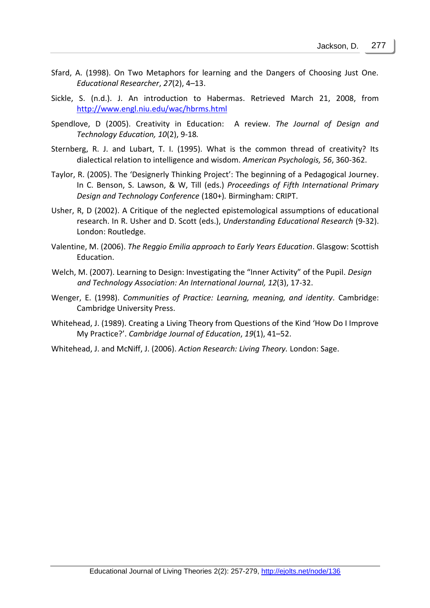- Sfard, A. (1998). On Two Metaphors for learning and the Dangers of Choosing Just One. *Educational Researcher*, *27*(2), 4–13.
- Sickle, S. (n.d.). J. An introduction to Habermas. Retrieved March 21, 2008, from <http://www.engl.niu.edu/wac/hbrms.html>
- Spendlove, D (2005). Creativity in Education: A review. *The Journal of Design and Technology Education, 10*(2), 9-18*.*
- Sternberg, R. J. and Lubart, T. I. (1995). What is the common thread of creativity? Its dialectical relation to intelligence and wisdom. *American Psychologis, 56*, 360-362.
- Taylor, R. (2005). The 'Designerly Thinking Project': The beginning of a Pedagogical Journey. In C. Benson, S. Lawson, & W, Till (eds.) *Proceedings of Fifth International Primary Design and Technology Conference* (180+)*.* Birmingham: CRIPT.
- Usher, R, D (2002). A Critique of the neglected epistemological assumptions of educational research. In R. Usher and D. Scott (eds.), *Understanding Educational Research* (9-32). London: Routledge.
- Valentine, M. (2006). *The Reggio Emilia approach to Early Years Education*. Glasgow: Scottish Education.
- Welch, M. (2007). Learning to Design: Investigating the "Inner Activity" of the Pupil. *Design and Technology Association: An International Journal, 12*(3), 17-32.
- Wenger, E. (1998). *Communities of Practice: Learning, meaning, and identity.* Cambridge: Cambridge University Press.
- Whitehead, J. (1989). Creating a Living Theory from Questions of the Kind 'How Do I Improve My Practice?'. *Cambridge Journal of Education*, *19*(1), 41–52.
- Whitehead, J. and McNiff, J. (2006). *Action Research: Living Theory.* London: Sage.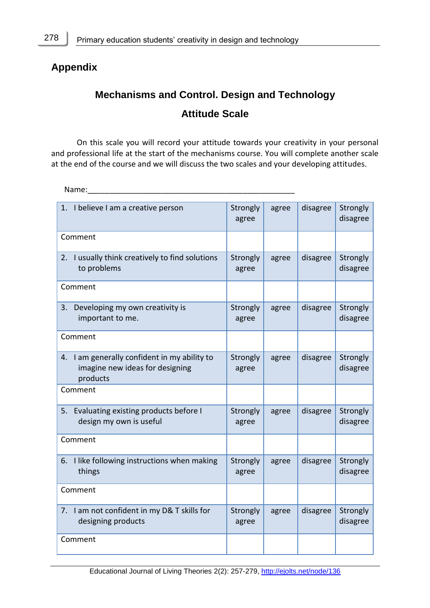## **Appendix**

# **Mechanisms and Control. Design and Technology**

## **Attitude Scale**

On this scale you will record your attitude towards your creativity in your personal and professional life at the start of the mechanisms course. You will complete another scale at the end of the course and we will discuss the two scales and your developing attitudes.

Name:

| I believe I am a creative person<br>1.                                                         | Strongly<br>agree | agree | disagree | Strongly<br>disagree |
|------------------------------------------------------------------------------------------------|-------------------|-------|----------|----------------------|
| Comment                                                                                        |                   |       |          |                      |
| I usually think creatively to find solutions<br>2.<br>to problems                              | Strongly<br>agree | agree | disagree | Strongly<br>disagree |
| Comment                                                                                        |                   |       |          |                      |
| Developing my own creativity is<br>3.<br>important to me.                                      | Strongly<br>agree | agree | disagree | Strongly<br>disagree |
| Comment                                                                                        |                   |       |          |                      |
| I am generally confident in my ability to<br>4.<br>imagine new ideas for designing<br>products | Strongly<br>agree | agree | disagree | Strongly<br>disagree |
| Comment                                                                                        |                   |       |          |                      |
| Evaluating existing products before I<br>5.<br>design my own is useful                         | Strongly<br>agree | agree | disagree | Strongly<br>disagree |
| Comment                                                                                        |                   |       |          |                      |
| I like following instructions when making<br>6.<br>things                                      | Strongly<br>agree | agree | disagree | Strongly<br>disagree |
| Comment                                                                                        |                   |       |          |                      |
| I am not confident in my D& T skills for<br>7.<br>designing products                           | Strongly<br>agree | agree | disagree | Strongly<br>disagree |
| Comment                                                                                        |                   |       |          |                      |